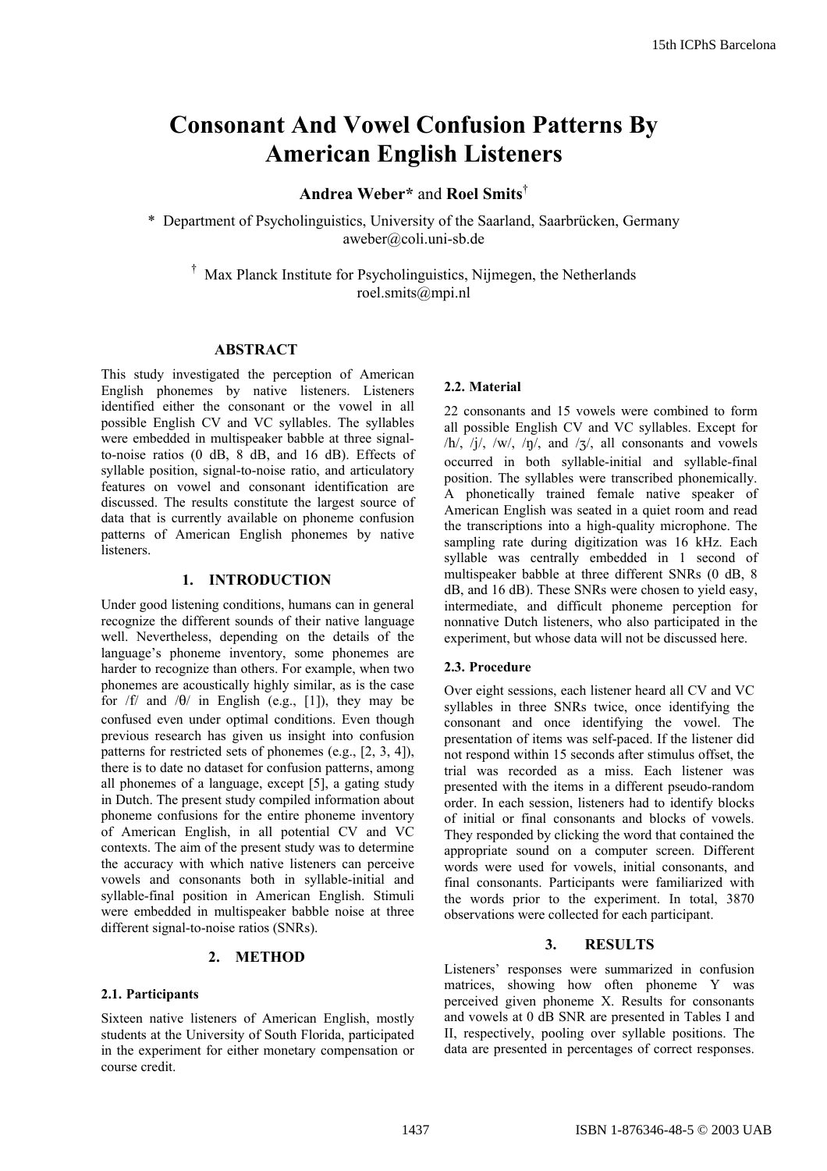# **Consonant And Vowel Confusion Patterns By American English Listeners**

# **Andrea Weber\*** and **Roel Smits**†

\* Department of Psycholinguistics, University of the Saarland, Saarbrücken, Germany aweber@coli.uni-sb.de

† Max Planck Institute for Psycholinguistics, Nijmegen, the Netherlands roel.smits@mpi.nl

### **ABSTRACT**

This study investigated the perception of American English phonemes by native listeners. Listeners identified either the consonant or the vowel in all possible English CV and VC syllables. The syllables were embedded in multispeaker babble at three signalto-noise ratios (0 dB, 8 dB, and 16 dB). Effects of syllable position, signal-to-noise ratio, and articulatory features on vowel and consonant identification are discussed. The results constitute the largest source of data that is currently available on phoneme confusion patterns of American English phonemes by native listeners.

## **1. INTRODUCTION**

Under good listening conditions, humans can in general recognize the different sounds of their native language well. Nevertheless, depending on the details of the language's phoneme inventory, some phonemes are harder to recognize than others. For example, when two phonemes are acoustically highly similar, as is the case for  $/f$  and  $/θ$  in English (e.g., [1]), they may be confused even under optimal conditions. Even though previous research has given us insight into confusion patterns for restricted sets of phonemes (e.g., [2, 3, 4]), there is to date no dataset for confusion patterns, among all phonemes of a language, except [5], a gating study in Dutch. The present study compiled information about phoneme confusions for the entire phoneme inventory of American English, in all potential CV and VC contexts. The aim of the present study was to determine the accuracy with which native listeners can perceive vowels and consonants both in syllable-initial and syllable-final position in American English. Stimuli were embedded in multispeaker babble noise at three different signal-to-noise ratios (SNRs).

#### **2. METHOD**

#### **2.1. Participants**

Sixteen native listeners of American English, mostly students at the University of South Florida, participated in the experiment for either monetary compensation or course credit.

#### **2.2. Material**

22 consonants and 15 vowels were combined to form all possible English CV and VC syllables. Except for  $/h/$ ,  $/j/$ ,  $/w/$ ,  $/\eta/$ , and  $/3/$ , all consonants and vowels occurred in both syllable-initial and syllable-final position. The syllables were transcribed phonemically. A phonetically trained female native speaker of American English was seated in a quiet room and read the transcriptions into a high-quality microphone. The sampling rate during digitization was 16 kHz. Each syllable was centrally embedded in 1 second of multispeaker babble at three different SNRs (0 dB, 8 dB, and 16 dB). These SNRs were chosen to yield easy, intermediate, and difficult phoneme perception for nonnative Dutch listeners, who also participated in the experiment, but whose data will not be discussed here.

#### **2.3. Procedure**

Over eight sessions, each listener heard all CV and VC syllables in three SNRs twice, once identifying the consonant and once identifying the vowel. The presentation of items was self-paced. If the listener did not respond within 15 seconds after stimulus offset, the trial was recorded as a miss. Each listener was presented with the items in a different pseudo-random order. In each session, listeners had to identify blocks of initial or final consonants and blocks of vowels. They responded by clicking the word that contained the appropriate sound on a computer screen. Different words were used for vowels, initial consonants, and final consonants. Participants were familiarized with the words prior to the experiment. In total, 3870 observations were collected for each participant.

#### **3. RESULTS**

Listeners' responses were summarized in confusion matrices, showing how often phoneme Y was perceived given phoneme X. Results for consonants and vowels at 0 dB SNR are presented in Tables I and II, respectively, pooling over syllable positions. The data are presented in percentages of correct responses.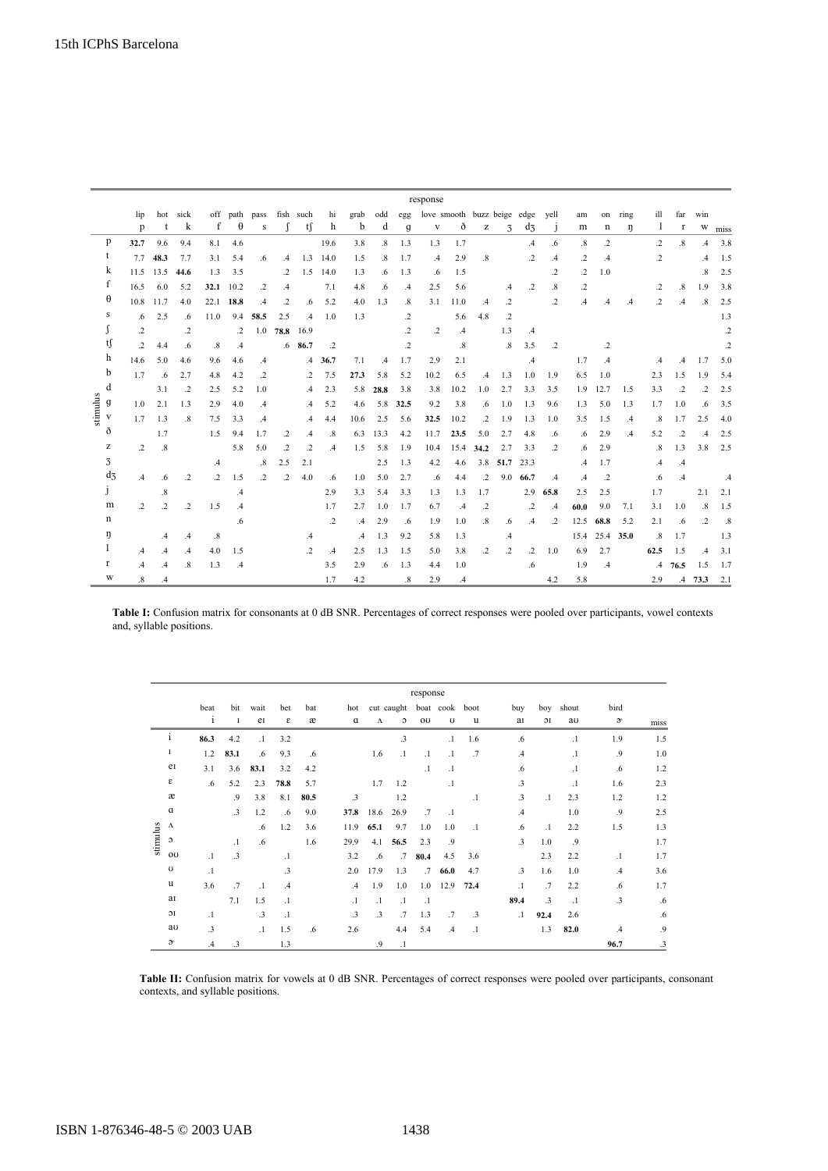|                                    |       |                  | response          |               |               |                      |                   |               |               |               |               |               |                   |                             |                   |                                                       |               |                 |                   |               |                 |               |                   |                   |               |         |
|------------------------------------|-------|------------------|-------------------|---------------|---------------|----------------------|-------------------|---------------|---------------|---------------|---------------|---------------|-------------------|-----------------------------|-------------------|-------------------------------------------------------|---------------|-----------------|-------------------|---------------|-----------------|---------------|-------------------|-------------------|---------------|---------|
|                                    |       | lip              | hot               | sick          |               | off path             | pass              |               | fish such     | hi            | grab          | odd           | egg               | love smooth buzz beige edge |                   |                                                       |               |                 | vell              | am            | on              | ring          | ill               | far               | win           |         |
|                                    |       | p                | t                 | k             | f             | $\theta$             | s                 | $\Gamma$      | tſ            | h             | b             | d             | g                 | $\mathbf{V}$                | ð                 | $\mathbf{Z}% ^{T}=\mathbf{Z}^{T}\times\mathbf{Z}^{T}$ | 3             | $d_3$           | $\mathbf{1}$      | m             | n               | η             | $\perp$           | r                 | W             | miss    |
| p                                  |       | 32.7             | 9.6               | 9.4           | 8.1           | 4.6                  |                   |               |               | 19.6          | 3.8           | $\cdot$ 8     | 1.3               | 1.3                         | 1.7               |                                                       |               | $\mathcal{A}$   | .6                | .8            | $\cdot$         |               | $\cdot$ 2         | .8                | $\mathcal{A}$ | 3.8     |
| t                                  |       | 7.7              | 48.3              | 7.7           | 3.1           | 5.4                  | .6                | $\mathcal{A}$ | 1.3           | 14.0          | 1.5           | $.8\,$        | 1.7               | $\mathcal{A}$               | 2.9               | $.8\,$                                                |               | $\cdot$         | $\mathcal{A}$     | .2            | $\mathcal{A}$   |               | .2                |                   | $\mathcal{A}$ | 1.5     |
| k                                  |       |                  | 11.5 13.5         | 44.6          | 1.3           | 3.5                  |                   | $\cdot$       | 1.5           | 14.0          | 1.3           | .6            | 1.3               | .6                          | 1.5               |                                                       |               |                 | .2                | .2            | 1.0             |               |                   |                   | $\cdot$ 8     | 2.5     |
| f                                  |       | 16.5             | 6.0               | 5.2           | 32.1          | 10.2                 | $\cdot$           | .4            |               | 7.1           | 4.8           | .6            | $\mathcal{A}$     | 2.5                         | 5.6               |                                                       | $\mathcal{A}$ | $\cdot$         | $\boldsymbol{.8}$ | $\cdot$       |                 |               | .2                | $\boldsymbol{.8}$ | 1.9           | 3.8     |
| θ                                  |       |                  | 10.8 11.7         | 4.0           |               | 22.1 18.8            | $\mathcal{A}$     | $\cdot$       | .6            | 5.2           | 4.0           | 1.3           | $\boldsymbol{.8}$ | 3.1                         | 11.0              | $\mathcal{A}$                                         | $\cdot$       |                 | .2                | $\mathcal{A}$ | $.4\phantom{0}$ | $\mathcal{A}$ | $\cdot$           | $\mathcal{A}$     | $.8\,$        | 2.5     |
| s                                  |       | .6               | 2.5               | .6            | 11.0          | 9.4                  | 58.5              | 2.5           | $\mathcal{A}$ | 1.0           | 1.3           |               | $\cdot$           |                             | 5.6               | 4.8                                                   | $\cdot$       |                 |                   |               |                 |               |                   |                   |               | 1.3     |
|                                    |       | $\cdot$          |                   | $\cdot$       |               | $\cdot$              | 1.0               | 78.8          | 16.9          |               |               |               | .2                | $\cdot$                     | $\mathcal{A}$     |                                                       | 1.3           | $\mathcal{A}$   |                   |               |                 |               |                   |                   |               | $\cdot$ |
| tſ<br>h<br>b<br>d<br>stimulus<br>g |       | $\cdot$          | 4.4               | .6            | .8            | $\cdot$ <sup>4</sup> |                   |               | $.6$ 86.7     | $\cdot$       |               |               | .2                |                             | $\boldsymbol{.8}$ |                                                       | .8            | 3.5             | $\cdot$           |               | .2              |               |                   |                   |               | $\cdot$ |
|                                    |       | 14.6             | 5.0               | 4.6           | 9.6           | 4.6                  | $\mathcal{A}$     |               | $\mathcal{A}$ | 36.7          | 7.1           | $\mathcal{A}$ | 1.7               | 2.9                         | 2.1               |                                                       |               | $.4\phantom{0}$ |                   | 1.7           | $\mathcal{A}$   |               | $\mathcal{A}$     | .4                | 1.7           | 5.0     |
|                                    |       | 1.7              | $.6\phantom{0}$   | 2.7           | 4.8           | 4.2                  | $\cdot$           |               | $\cdot$       | 7.5           | 27.3          | 5.8           | 5.2               | 10.2                        | 6.5               | $\mathcal{A}$                                         | 1.3           | 1.0             | 1.9               | 6.5           | 1.0             |               | 2.3               | 1.5               | 1.9           | 5.4     |
|                                    |       |                  | 3.1               | $\cdot$       | 2.5           | 5.2                  | 1.0               |               | $\mathcal{A}$ | 2.3           | 5.8           | 28.8          | 3.8               | 3.8                         | 10.2              | 1.0                                                   | 2.7           | 3.3             | 3.5               | 1.9           | 12.7            | 1.5           | 3.3               | $\cdot$           | $\cdot$       | 2.5     |
|                                    |       | 1.0              | 2.1               | 1.3           | 2.9           | 4.0                  | $\mathcal{A}$     |               | $\mathcal{A}$ | 5.2           | 4.6           | 5.8           | 32.5              | 9.2                         | 3.8               | .6                                                    | 1.0           | 1.3             | 9.6               | 1.3           | 5.0             | 1.3           | 1.7               | 1.0               | .6            | 3.5     |
| V                                  |       | 1.7              | 1.3               | $\cdot$ 8     | 7.5           | 3.3                  | $\mathcal{A}$     |               | $\mathcal{A}$ | 4.4           | 10.6          | 2.5           | 5.6               | 32.5                        | 10.2              | $\cdot$                                               | 1.9           | 1.3             | 1.0               | 3.5           | 1.5             | $\mathcal{A}$ | $\boldsymbol{.8}$ | 1.7               | 2.5           | 4.0     |
| ð                                  |       |                  | 1.7               |               | 1.5           | 9.4                  | 1.7               | .2            | $\mathcal{A}$ | $.8\,$        | 6.3           | 13.3          | 4.2               | 11.7                        | 23.5              | 5.0                                                   | 2.7           | 4.8             | .6                | .6            | 2.9             | $\mathcal{A}$ | 5.2               | $\cdot$           | $\mathcal{A}$ | 2.5     |
| z                                  |       | $\overline{2}$   | .8                |               |               | 5.8                  | 5.0               | .2            | .2            | $\mathcal{A}$ | 1.5           | 5.8           | 1.9               | 10.4                        | 15.4              | 34.2                                                  | 2.7           | 3.3             | .2                | .6            | 2.9             |               | $\boldsymbol{.8}$ | 1.3               | 3.8           | 2.5     |
| 3                                  |       |                  |                   |               | $\mathcal{A}$ |                      | $\boldsymbol{.8}$ | 2.5           | 2.1           |               |               | 2.5           | 1.3               | 4.2                         | 4.6               |                                                       | 3.8 51.7      | 23.3            |                   | $\mathcal{A}$ | 1.7             |               | $\cdot$           | $\mathcal{A}$     |               |         |
|                                    | $d_3$ | $\mathcal{A}$    | .6                | .2            | $\cdot$       | 1.5                  | $\cdot$           | $\cdot$       | 4.0           | .6            | 1.0           | 5.0           | 2.7               | .6                          | 4.4               | $\cdot$                                               | 9.0           | 66.7            | $\cdot^4$         | $\cdot$       | $\cdot$         |               | .6                | .4                |               | .4      |
| J                                  |       |                  | $\boldsymbol{.8}$ |               |               | $\mathcal{A}$        |                   |               |               | 2.9           | 3.3           | 5.4           | 3.3               | 1.3                         | 1.3               | 1.7                                                   |               | 2.9             | 65.8              | 2.5           | 2.5             |               | 1.7               |                   | 2.1           | 2.1     |
|                                    | m     | $\overline{2}$   | $\cdot$           | $\cdot$       | 1.5           | $\mathcal{A}$        |                   |               |               | 1.7           | 2.7           | 1.0           | 1.7               | 6.7                         | $\mathcal{A}$     | $\cdot$                                               |               | $\cdot$         | $.4\phantom{0}$   | 60.0          | 9.0             | 7.1           | 3.1               | 1.0               | $.8\,$        | 1.5     |
| $\mathbf n$                        |       |                  |                   |               |               | .6                   |                   |               |               | $\cdot$       | $\mathcal{A}$ | 2.9           | .6                | 1.9                         | 1.0               | $\boldsymbol{.8}$                                     | .6            | $\mathcal{A}$   | $\cdot$           | 12.5          | 68.8            | 5.2           | 2.1               | .6                | $\cdot$       | .8      |
| ŋ                                  |       |                  | .4                | $\cdot^4$     | .8            |                      |                   |               | .4            |               | $\mathcal{A}$ | 1.3           | 9.2               | 5.8                         | 1.3               |                                                       | .4            |                 |                   | 15.4          | 25.4 35.0       |               | $\boldsymbol{.8}$ | 1.7               |               | 1.3     |
| 1                                  |       | .4               | $\mathcal{A}$     | $\mathcal{A}$ | 4.0           | 1.5                  |                   |               | $\cdot$       | $\mathcal{A}$ | 2.5           | 1.3           | 1.5               | 5.0                         | 3.8               | $\cdot$                                               | $\cdot$       | $\cdot$         | 1.0               | 6.9           | 2.7             |               | 62.5              | 1.5               | $\mathcal{A}$ | 3.1     |
| r                                  |       | $\mathcal{A}$    | $\cdot$           | $\cdot^8$     | 1.3           | $\mathcal{A}$        |                   |               |               | 3.5           | 2.9           | .6            | 1.3               | 4.4                         | 1.0               |                                                       |               | .6              |                   | 1.9           | $\mathcal{A}$   |               |                   | $.4$ 76.5         | 1.5           | 1.7     |
|                                    | W     | $\boldsymbol{8}$ | $\mathcal{A}$     |               |               |                      |                   |               |               | 1.7           | 4.2           |               | .8                | 2.9                         | $\cdot$           |                                                       |               |                 | 4.2               | 5.8           |                 |               | 2.9               |                   | $.4$ 73.3     | 2.1     |

Table I: Confusion matrix for consonants at 0 dB SNR. Percentages of correct responses were pooled over participants, vowel contexts and, syllable positions.

|          |                      | response      |            |           |               |      |               |           |                 |           |                           |           |               |           |           |               |      |
|----------|----------------------|---------------|------------|-----------|---------------|------|---------------|-----------|-----------------|-----------|---------------------------|-----------|---------------|-----------|-----------|---------------|------|
|          |                      | beat          | bit        | wait      | bet           | bat  | hot           |           |                 |           | cut caught boat cook boot |           | buy           |           | boy shout | bird          |      |
|          |                      | $\mathbf{i}$  | $\bf{I}$   | eI        | ε             | æ    | $\mathbf a$   | $\Lambda$ | $\circ$         | ou        | U                         | u         | aı            | 1C        | au        | $\mathcal{V}$ | miss |
|          | 1                    | 86.3          | 4.2        | $\cdot$   | 3.2           |      |               |           | $\cdot$ 3       |           | $\cdot$ 1                 | 1.6       | .6            |           | $\cdot$   | 1.9           | 1.5  |
|          | <b>I</b>             | 1.2           | 83.1       | .6        | 9.3           | .6   |               | 1.6       | $\cdot$ 1       | $\cdot$ 1 | $\cdot$ 1                 | .7        | $\mathcal{A}$ |           | $\cdot$   | .9            | 1.0  |
|          | ei                   | 3.1           | 3.6        | 83.1      | 3.2           | 4.2  |               |           |                 | $\cdot$ 1 | $\cdot$ 1                 |           | .6            |           | $\cdot$   | .6            | 1.2  |
|          | ε                    | .6            | 5.2        | 2.3       | 78.8          | 5.7  |               | 1.7       | 1.2             |           | $\cdot$ 1                 |           | $\cdot$ 3     |           | $\cdot$ 1 | 1.6           | 2.3  |
|          | æ                    |               | $\cdot$ .9 | 3.8       | 8.1           | 80.5 | .3            |           | 1.2             |           |                           | $\cdot$ 1 | $\cdot$ 3     | $\cdot$   | 2.3       | 1.2           | 1.2  |
|          | $\alpha$             |               | $\cdot$ 3  | 1.2       | .6            | 9.0  | 37.8          | 18.6      | 26.9            | .7        | $\cdot$ 1                 |           | .4            |           | 1.0       | .9            | 2.5  |
|          | $\Lambda$            |               |            | .6        | 1.2           | 3.6  | 11.9          | 65.1      | 9.7             | 1.0       | 1.0                       | $\cdot$ 1 | .6            | $\cdot$ 1 | 2.2       | 1.5           | 1.3  |
| stimulus | c                    |               | $\cdot$ 1  | .6        |               | 1.6  | 29.9          | 4.1       | 56.5            | 2.3       | .9                        |           | $\cdot$ 3     | 1.0       | .9        |               | 1.7  |
|          | ou                   | $\cdot$ 1     | $\cdot$ 3  |           | $\cdot$       |      | 3.2           | .6        | $.7\phantom{0}$ | 80.4      | 4.5                       | 3.6       |               | 2.3       | 2.2       | $\cdot$       | 1.7  |
|          | $\upsilon$           | $\cdot$ 1     |            |           | $\cdot$ 3     |      | 2.0           | 17.9      | 1.3             | $.7\,$    | 66.0                      | 4.7       | $\cdot$ 3     | 1.6       | 1.0       | $\mathcal{A}$ | 3.6  |
|          | u                    | 3.6           | .7         | $\cdot$   | $\mathcal{A}$ |      | $\mathcal{A}$ | 1.9       | 1.0             |           | $1.0$ 12.9                | 72.4      | $\cdot$       | $\cdot$ 7 | 2.2       | .6            | 1.7  |
|          | aI                   |               | 7.1        | 1.5       | $\cdot$       |      | $\cdot$ 1     | $\cdot$ 1 | $\cdot$         | $\cdot$ 1 |                           |           | 89.4          | $\cdot$ 3 | $\cdot$   | $\cdot$ 3     | .6   |
|          | 1C                   | $\cdot$       |            | $\cdot$ 3 | $\cdot$       |      | $\cdot$ 3     | $\cdot$ 3 | .7              | 1.3       | $\cdot$ 7                 | $\cdot$ 3 | $\cdot$       | 92.4      | 2.6       |               | .6   |
|          | aυ                   | .3            |            | $\cdot$   | 1.5           | .6   | 2.6           |           | 4.4             | 5.4       | $\mathcal{A}$             | $\cdot$   |               | 1.3       | 82.0      | $\mathcal{A}$ | .9   |
|          | $\mathfrak{d}^\cdot$ | $\mathcal{A}$ | .3         |           | 1.3           |      |               | .9        | $\cdot$         |           |                           |           |               |           |           | 96.7          | .3   |

**Table II:** Confusion matrix for vowels at 0 dB SNR. Percentages of correct responses were pooled over participants, consonant contexts, and syllable positions.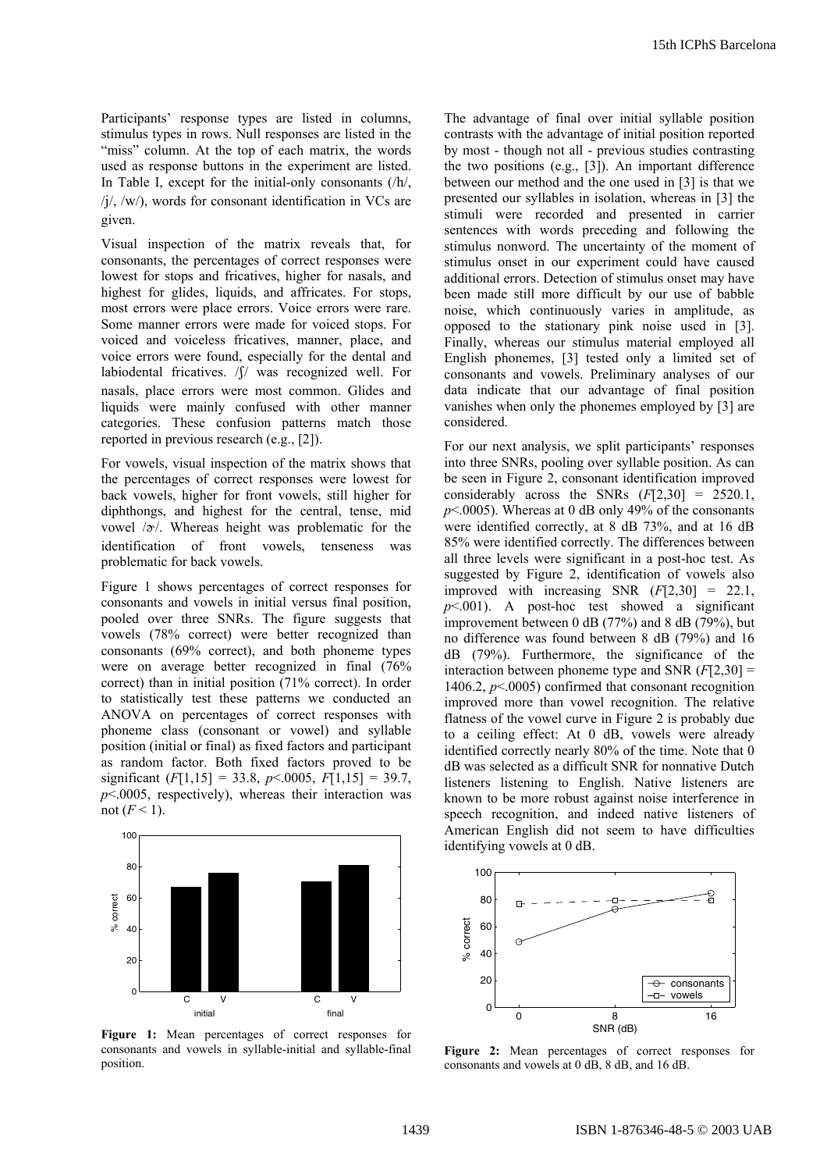Participants' response types are listed in columns, stimulus types in rows. Null responses are listed in the "miss" column. At the top of each matrix, the words used as response buttons in the experiment are listed. In Table I, except for the initial-only consonants (/h/,  $\frac{1}{\sqrt{2}}$ ,  $\frac{1}{\sqrt{2}}$ , words for consonant identification in VCs are given.

Visual inspection of the matrix reveals that, for consonants, the percentages of correct responses were lowest for stops and fricatives, higher for nasals, and highest for glides, liquids, and affricates. For stops, most errors were place errors. Voice errors were rare. Some manner errors were made for voiced stops. For voiced and voiceless fricatives, manner, place, and voice errors were found, especially for the dental and labiodental fricatives. / f/ was recognized well. For nasals, place errors were most common. Glides and liquids were mainly confused with other manner categories. These confusion patterns match those reported in previous research (e.g., [2]).

For vowels, visual inspection of the matrix shows that the percentages of correct responses were lowest for back vowels, higher for front vowels, still higher for diphthongs, and highest for the central, tense, mid vowel  $/\gamma$ . Whereas height was problematic for the identification of front vowels, tenseness was problematic for back vowels.

Figure 1 shows percentages of correct responses for consonants and vowels in initial versus final position, pooled over three SNRs. The figure suggests that vowels (78% correct) were better recognized than consonants (69% correct), and both phoneme types were on average better recognized in final (76% correct) than in initial position (71% correct). In order to statistically test these patterns we conducted an ANOVA on percentages of correct responses with phoneme class (consonant or vowel) and syllable position (initial or final) as fixed factors and participant as random factor. Both fixed factors proved to be significant  $(F[1,15] = 33.8, p \le 0.0005, F[1,15] = 39.7,$  $p$ <.0005, respectively), whereas their interaction was not  $(F<1)$ .



**Figure 1:** Mean percentages of correct responses for consonants and vowels in syllable-initial and syllable-final position.

The advantage of final over initial syllable position contrasts with the advantage of initial position reported by most - though not all - previous studies contrasting the two positions (e.g., [3]). An important difference between our method and the one used in [3] is that we presented our syllables in isolation, whereas in [3] the stimuli were recorded and presented in carrier sentences with words preceding and following the stimulus nonword. The uncertainty of the moment of stimulus onset in our experiment could have caused additional errors. Detection of stimulus onset may have been made still more difficult by our use of babble noise, which continuously varies in amplitude, as opposed to the stationary pink noise used in [3]. Finally, whereas our stimulus material employed all English phonemes, [3] tested only a limited set of consonants and vowels. Preliminary analyses of our data indicate that our advantage of final position vanishes when only the phonemes employed by [3] are considered.

For our next analysis, we split participants' responses into three SNRs, pooling over syllable position. As can be seen in Figure 2, consonant identification improved considerably across the SNRs (*F*[2,30] = 2520.1,  $p$ <.0005). Whereas at 0 dB only 49% of the consonants were identified correctly, at 8 dB 73%, and at 16 dB 85% were identified correctly. The differences between all three levels were significant in a post-hoc test. As suggested by Figure 2, identification of vowels also improved with increasing SNR (*F*[2,30] = 22.1,  $p$ <.001). A post-hoc test showed a significant improvement between 0 dB (77%) and 8 dB (79%), but no difference was found between 8 dB (79%) and 16 dB (79%). Furthermore, the significance of the interaction between phoneme type and SNR (*F*[2,30] = 1406.2, *p*<.0005) confirmed that consonant recognition improved more than vowel recognition. The relative flatness of the vowel curve in Figure 2 is probably due to a ceiling effect: At 0 dB, vowels were already identified correctly nearly 80% of the time. Note that 0 dB was selected as a difficult SNR for nonnative Dutch listeners listening to English. Native listeners are known to be more robust against noise interference in speech recognition, and indeed native listeners of American English did not seem to have difficulties identifying vowels at 0 dB.



**Figure 2:** Mean percentages of correct responses for consonants and vowels at 0 dB, 8 dB, and 16 dB.